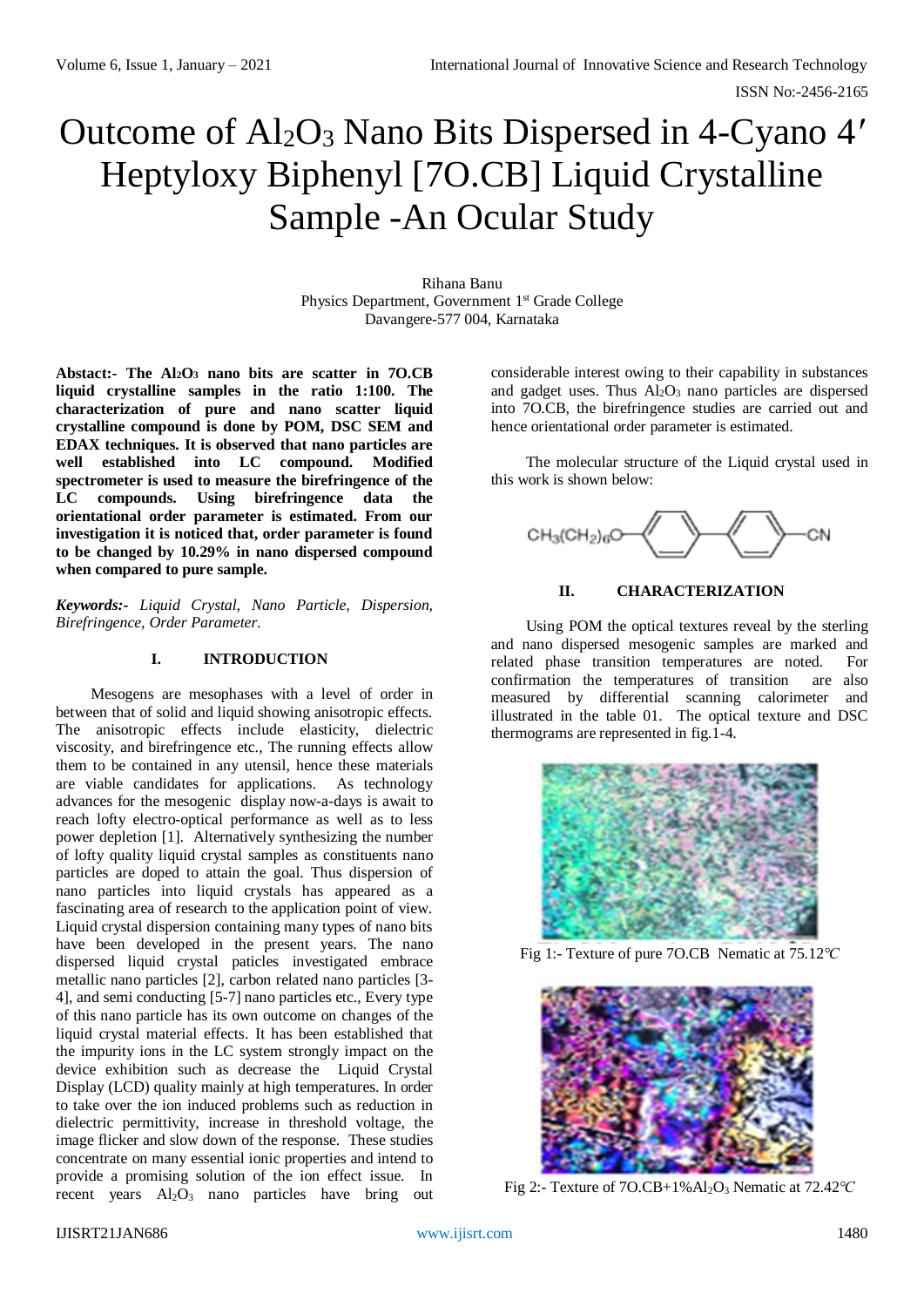# Outcome of Al2O<sup>3</sup> Nano Bits Dispersed in 4-Cyano 4*′* Heptyloxy Biphenyl [7O.CB] Liquid Crystalline Sample -An Ocular Study

Rihana Banu Physics Department, Government 1<sup>st</sup> Grade College Davangere-577 004, Karnataka

**Abstact:- The Al2O<sup>3</sup> nano bits are scatter in 7O.CB liquid crystalline samples in the ratio 1:100. The characterization of pure and nano scatter liquid crystalline compound is done by POM, DSC SEM and EDAX techniques. It is observed that nano particles are well established into LC compound. Modified spectrometer is used to measure the birefringence of the LC compounds. Using birefringence data the orientational order parameter is estimated. From our investigation it is noticed that, order parameter is found to be changed by 10.29% in nano dispersed compound when compared to pure sample.**

*Keywords:- Liquid Crystal, Nano Particle, Dispersion, Birefringence, Order Parameter.*

# **I. INTRODUCTION**

Mesogens are mesophases with a level of order in between that of solid and liquid showing anisotropic effects. The anisotropic effects include elasticity, dielectric viscosity, and birefringence etc., The running effects allow them to be contained in any utensil, hence these materials are viable candidates for applications. As technology advances for the mesogenic display now-a-days is await to reach lofty electro-optical performance as well as to less power depletion [1]. Alternatively synthesizing the number of lofty quality liquid crystal samples as constituents nano particles are doped to attain the goal. Thus dispersion of nano particles into liquid crystals has appeared as a fascinating area of research to the application point of view. Liquid crystal dispersion containing many types of nano bits have been developed in the present years. The nano dispersed liquid crystal paticles investigated embrace metallic nano particles [2], carbon related nano particles [3- 4], and semi conducting [5-7] nano particles etc., Every type of this nano particle has its own outcome on changes of the liquid crystal material effects. It has been established that the impurity ions in the LC system strongly impact on the device exhibition such as decrease the Liquid Crystal Display (LCD) quality mainly at high temperatures. In order to take over the ion induced problems such as reduction in dielectric permittivity, increase in threshold voltage, the image flicker and slow down of the response. These studies concentrate on many essential ionic properties and intend to provide a promising solution of the ion effect issue. In recent years  $Al_2O_3$  nano particles have bring out

considerable interest owing to their capability in substances and gadget uses. Thus  $Al<sub>2</sub>O<sub>3</sub>$  nano particles are dispersed into 7O.CB, the birefringence studies are carried out and hence orientational order parameter is estimated.

The molecular structure of the Liquid crystal used in this work is shown below:



# **II. CHARACTERIZATION**

Using POM the optical textures reveal by the sterling and nano dispersed mesogenic samples are marked and related phase transition temperatures are noted. For confirmation the temperatures of transition are also measured by differential scanning calorimeter and illustrated in the table 01. The optical texture and DSC thermograms are represented in fig.1-4.



Fig 1:- Texture of pure 7O.CB Nematic at 75.12*℃*



Fig 2:- Texture of 7O.CB+1%Al2O<sup>3</sup> Nematic at 72.42*℃*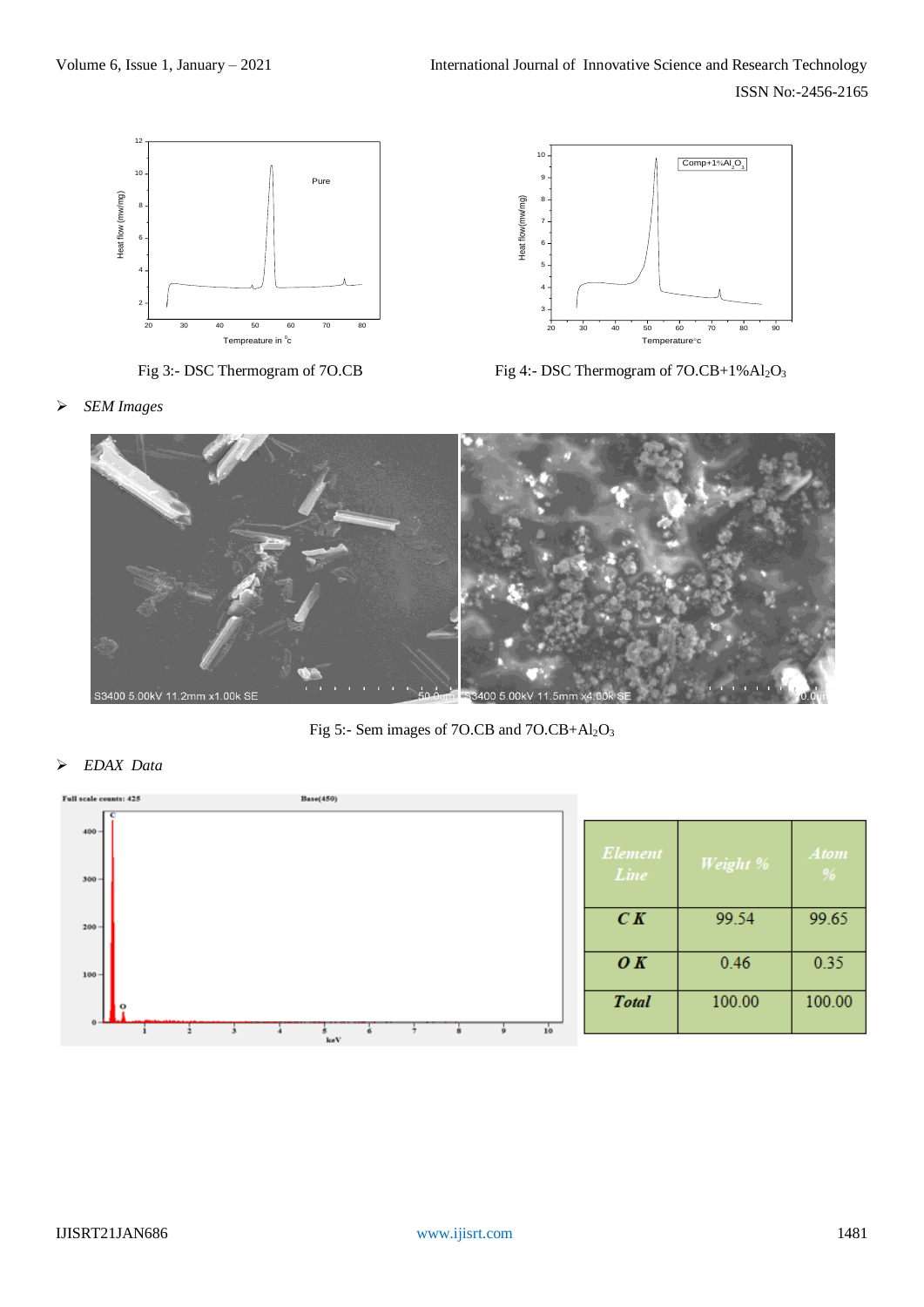





Fig 3:- DSC Thermogram of 7O.CB Fig 4:- DSC Thermogram of 7O.CB+1%Al<sub>2</sub>O<sub>3</sub>

*SEM Images*



Fig 5:- Sem images of 7O.CB and 7O.CB+Al2O<sup>3</sup>

*EDAX Data*

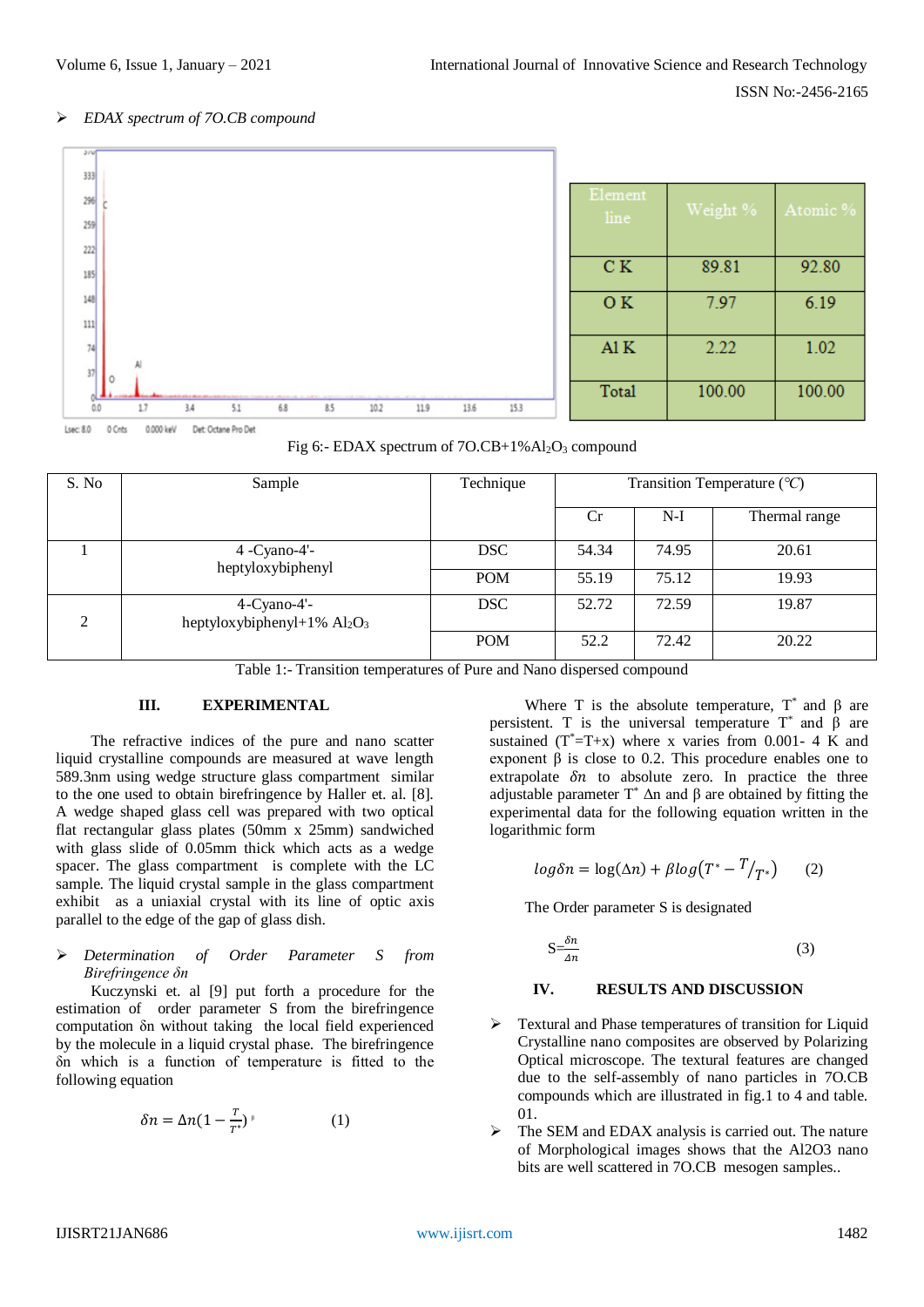## *EDAX spectrum of 7O.CB compound*



| Element<br>line | Weight % | Atomic % |
|-----------------|----------|----------|
| C K             | 89.81    | 92.80    |
| OK.             | 7.97     | 6.19     |
| A1K             | 2.22     | 1.02     |
| Total           | 100.00   | 100.00   |

| Fig 6:- EDAX spectrum of $7O.CB+1\% Al_2O_3$ compound |  |
|-------------------------------------------------------|--|
|-------------------------------------------------------|--|

| S. No         | Sample                                        | Technique  | Transition Temperature $({}^{\circ}C)$ |       |               |
|---------------|-----------------------------------------------|------------|----------------------------------------|-------|---------------|
|               |                                               |            | Cr                                     | $N-I$ | Thermal range |
|               | 4 -Cyano-4'-<br>heptyloxybiphenyl             | <b>DSC</b> | 54.34                                  | 74.95 | 20.61         |
|               |                                               | <b>POM</b> | 55.19                                  | 75.12 | 19.93         |
| $\mathcal{D}$ | 4-Cyano-4'-<br>heptyloxybiphenyl+1% $Al_2O_3$ | <b>DSC</b> | 52.72                                  | 72.59 | 19.87         |
|               |                                               | <b>POM</b> | 52.2                                   | 72.42 | 20.22         |

Table 1:- Transition temperatures of Pure and Nano dispersed compound

# **III. EXPERIMENTAL**

The refractive indices of the pure and nano scatter liquid crystalline compounds are measured at wave length 589.3nm using wedge structure glass compartment similar to the one used to obtain birefringence by Haller et. al. [8]. A wedge shaped glass cell was prepared with two optical flat rectangular glass plates (50mm x 25mm) sandwiched with glass slide of 0.05mm thick which acts as a wedge spacer. The glass compartment is complete with the LC sample. The liquid crystal sample in the glass compartment exhibit as a uniaxial crystal with its line of optic axis parallel to the edge of the gap of glass dish.

#### *Determination of Order Parameter S from Birefringence δn*

Kuczynski et. al [9] put forth a procedure for the estimation of order parameter S from the birefringence computation δn without taking the local field experienced by the molecule in a liquid crystal phase. The birefringence δn which is a function of temperature is fitted to the following equation

$$
\delta n = \Delta n (1 - \frac{r}{T^*})^{\beta} \tag{1}
$$

Where T is the absolute temperature,  $T^*$  and  $\beta$  are persistent. T is the universal temperature  $T^*$  and  $\beta$  are sustained  $(T^* = T + x)$  where x varies from 0.001-4 K and exponent β is close to 0.2. This procedure enables one to extrapolate  $\delta n$  to absolute zero. In practice the three adjustable parameter  $T^*$   $\Delta$ n and β are obtained by fitting the experimental data for the following equation written in the logarithmic form

$$
log \delta n = log(\Delta n) + \beta log(T^* - T_{T^*})
$$
 (2)

The Order parameter S is designated

$$
S = \frac{\delta n}{\Delta n} \tag{3}
$$

#### **IV. RESULTS AND DISCUSSION**

- Textural and Phase temperatures of transition for Liquid Crystalline nano composites are observed by Polarizing Optical microscope. The textural features are changed due to the self-assembly of nano particles in 7O.CB compounds which are illustrated in fig.1 to 4 and table. 01.
- $\triangleright$  The SEM and EDAX analysis is carried out. The nature of Morphological images shows that the Al2O3 nano bits are well scattered in 7O.CB mesogen samples..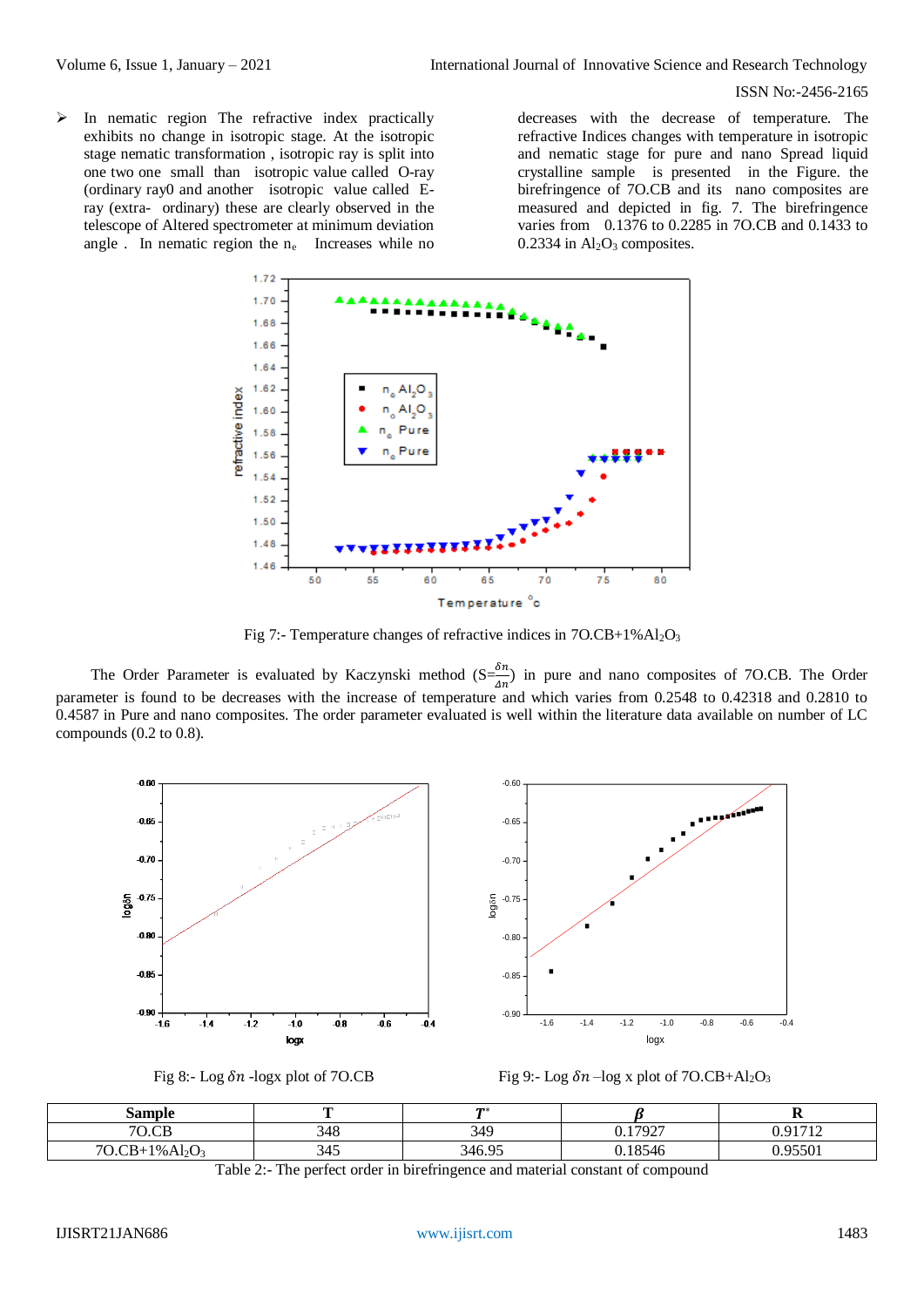#### ISSN No:-2456-2165

 $\triangleright$  In nematic region The refractive index practically exhibits no change in isotropic stage. At the isotropic stage nematic transformation , isotropic ray is split into one two one small than isotropic value called O-ray (ordinary ray0 and another isotropic value called Eray (extra- ordinary) these are clearly observed in the telescope of Altered spectrometer at minimum deviation angle . In nematic region the  $n_e$  Increases while no

decreases with the decrease of temperature. The refractive Indices changes with temperature in isotropic and nematic stage for pure and nano Spread liquid crystalline sample is presented in the Figure. the birefringence of 7O.CB and its nano composites are measured and depicted in fig. 7. The birefringence varies from 0.1376 to 0.2285 in 7O.CB and 0.1433 to  $0.2334$  in  $Al<sub>2</sub>O<sub>3</sub>$  composites.



Fig 7:- Temperature changes of refractive indices in 7O.CB+1%Al<sub>2</sub>O<sub>3</sub>

The Order Parameter is evaluated by Kaczynski method  $(S=\frac{\delta n}{4n})$  in pure and nano composites of 7O.CB. The Order parameter is found to be decreases with the increase of temperature and which varies from 0.2548 to 0.42318 and 0.2810 to 0.4587 in Pure and nano composites. The order parameter evaluated is well within the literature data available on number of LC compounds (0.2 to 0.8).







| Sample                                                                |                     | $\mathbf{m}$ |         | . .                       |
|-----------------------------------------------------------------------|---------------------|--------------|---------|---------------------------|
| 70<br>$\cap$                                                          | 348                 | 349          | 17927.ر | 0.01712<br>$\overline{ }$ |
| $70 \text{ } \text{CR}_\pm$ .<br>$1\%$ Al <sub>2</sub> O <sub>3</sub> | $\prime\prime$<br>τ | 346.95       | 18546   | 0.7501<br>701             |

Table 2:- The perfect order in birefringence and material constant of compound